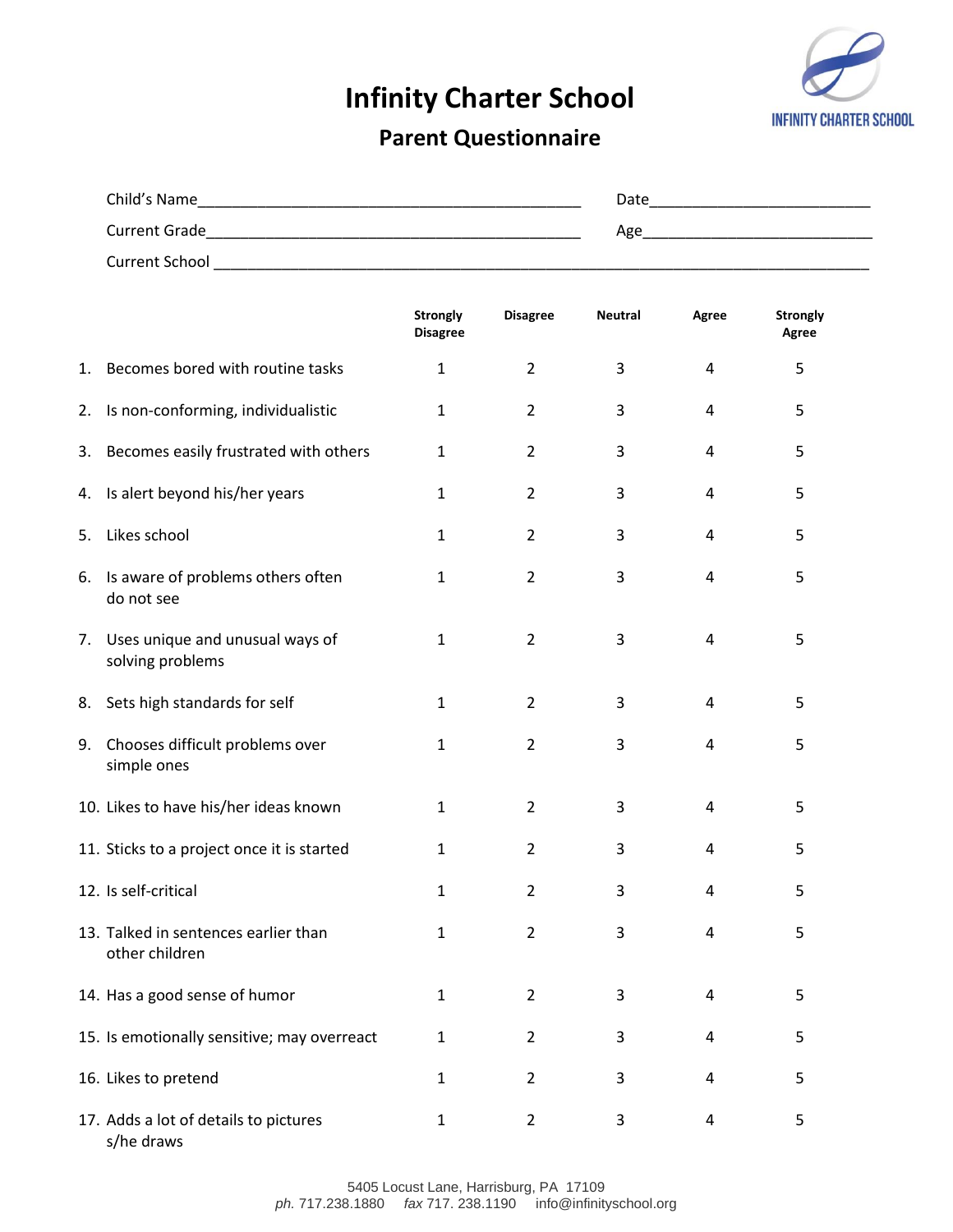## **Infinity Charter School**



## **Parent Questionnaire**

| Child's Name          | Date |
|-----------------------|------|
| <b>Current Grade</b>  | Age  |
| <b>Current School</b> |      |

|    |                                                        | <b>Strongly</b><br><b>Disagree</b> | <b>Disagree</b> | <b>Neutral</b> | Agree | <b>Strongly</b><br>Agree |
|----|--------------------------------------------------------|------------------------------------|-----------------|----------------|-------|--------------------------|
| 1. | Becomes bored with routine tasks                       | $\mathbf{1}$                       | $\overline{2}$  | 3              | 4     | 5                        |
| 2. | Is non-conforming, individualistic                     | $\mathbf{1}$                       | $\overline{2}$  | 3              | 4     | 5                        |
| 3. | Becomes easily frustrated with others                  | $\mathbf{1}$                       | $\overline{2}$  | 3              | 4     | 5                        |
| 4. | Is alert beyond his/her years                          | $\mathbf{1}$                       | $\overline{2}$  | 3              | 4     | 5                        |
| 5. | Likes school                                           | $\mathbf{1}$                       | $\overline{2}$  | 3              | 4     | 5                        |
| 6. | Is aware of problems others often<br>do not see        | $\mathbf{1}$                       | $\overline{2}$  | 3              | 4     | 5                        |
| 7. | Uses unique and unusual ways of<br>solving problems    | $\mathbf{1}$                       | $\overline{2}$  | 3              | 4     | 5                        |
| 8. | Sets high standards for self                           | $\mathbf{1}$                       | $\overline{2}$  | 3              | 4     | 5                        |
| 9. | Chooses difficult problems over<br>simple ones         | $\mathbf{1}$                       | $\overline{2}$  | 3              | 4     | 5                        |
|    | 10. Likes to have his/her ideas known                  | $\mathbf{1}$                       | $\overline{2}$  | 3              | 4     | 5                        |
|    | 11. Sticks to a project once it is started             | $\mathbf{1}$                       | $\overline{2}$  | 3              | 4     | 5                        |
|    | 12. Is self-critical                                   | $\mathbf{1}$                       | $\overline{2}$  | 3              | 4     | 5                        |
|    | 13. Talked in sentences earlier than<br>other children | $\mathbf{1}$                       | $\overline{2}$  | 3              | 4     | 5                        |
|    | 14. Has a good sense of humor                          | $\mathbf{1}$                       | $\overline{2}$  | 3              | 4     | 5                        |
|    | 15. Is emotionally sensitive; may overreact            | $\mathbf{1}$                       | $\overline{2}$  | 3              | 4     | 5                        |
|    | 16. Likes to pretend                                   | $\mathbf{1}$                       | $\overline{2}$  | 3              | 4     | 5                        |
|    | 17. Adds a lot of details to pictures<br>s/he draws    | $\mathbf{1}$                       | $\overline{2}$  | 3              | 4     | 5                        |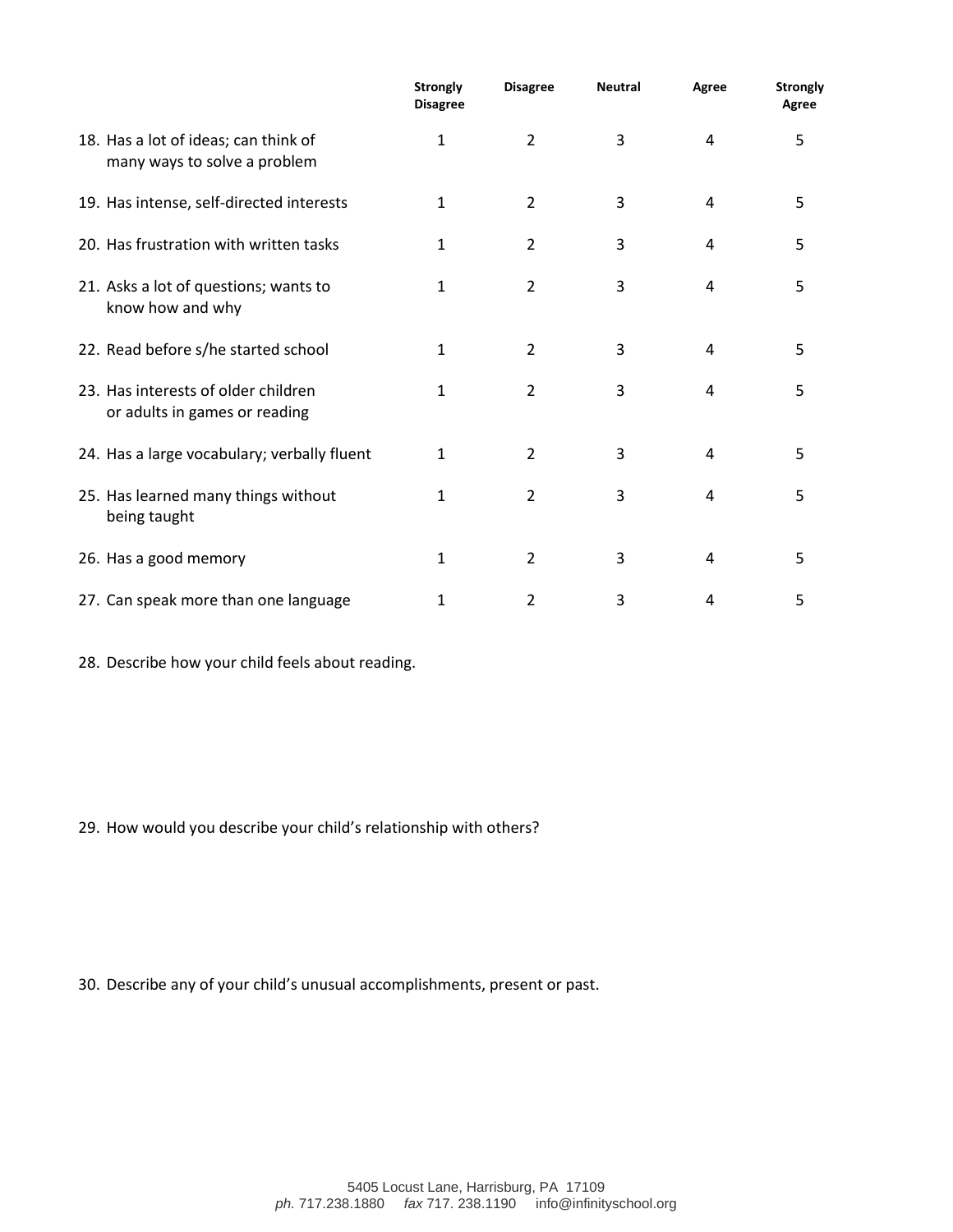|                                                                      | <b>Strongly</b><br><b>Disagree</b> | <b>Disagree</b> | <b>Neutral</b> | Agree | <b>Strongly</b><br>Agree |
|----------------------------------------------------------------------|------------------------------------|-----------------|----------------|-------|--------------------------|
| 18. Has a lot of ideas; can think of<br>many ways to solve a problem | 1                                  | $\overline{2}$  | 3              | 4     | 5                        |
| 19. Has intense, self-directed interests                             | 1                                  | $\overline{2}$  | 3              | 4     | 5                        |
| 20. Has frustration with written tasks                               | 1                                  | $\overline{2}$  | 3              | 4     | 5                        |
| 21. Asks a lot of questions; wants to<br>know how and why            | 1                                  | $\overline{2}$  | 3              | 4     | 5                        |
| 22. Read before s/he started school                                  | 1                                  | $\overline{2}$  | 3              | 4     | 5                        |
| 23. Has interests of older children<br>or adults in games or reading | 1                                  | $\overline{2}$  | 3              | 4     | 5                        |
| 24. Has a large vocabulary; verbally fluent                          | $\mathbf{1}$                       | $\overline{2}$  | 3              | 4     | 5                        |
| 25. Has learned many things without<br>being taught                  | 1                                  | $\overline{2}$  | 3              | 4     | 5                        |
| 26. Has a good memory                                                | 1                                  | $\overline{2}$  | 3              | 4     | 5                        |
| 27. Can speak more than one language                                 | 1                                  | 2               | 3              | 4     | 5                        |

28. Describe how your child feels about reading.

29. How would you describe your child's relationship with others?

30. Describe any of your child's unusual accomplishments, present or past.